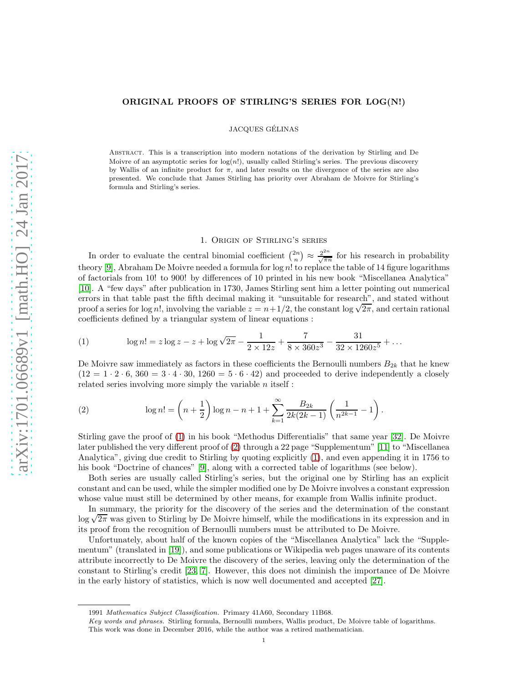# ORIGINAL PROOFS OF STIRLING'S SERIES FOR LOG(N!)

JACQUES GELINAS ´

Abstract. This is a transcription into modern notations of the derivation by Stirling and De Moivre of an asymptotic series for  $log(n!)$ , usually called Stirling's series. The previous discovery by Wallis of an infinite product for  $\pi$ , and later results on the divergence of the series are also presented. We conclude that James Stirling has priority over Abraham de Moivre for Stirling's formula and Stirling's series.

# 1. Origin of Stirling's series

In order to evaluate the central binomial coefficient  $\binom{2n}{n} \approx \frac{2^{2n}}{\sqrt{\pi n}}$  $\frac{2^{2n}}{\sqrt{\pi n}}$  for his research in probability theory [\[9\]](#page-7-0), Abraham De Moivre needed a formula for log n! to replace the table of 14 figure logarithms of factorials from 10! to 900! by differences of 10 printed in his new book "Miscellanea Analytica" [\[10\]](#page-7-1). A "few days" after publication in 1730, James Stirling sent him a letter pointing out numerical errors in that table past the fifth decimal making it "unsuitable for research", and stated without proof a series for log n!, involving the variable  $z = n + 1/2$ , the constant log  $\sqrt{2\pi}$ , and certain rational coefficients defined by a triangular system of linear equations :

<span id="page-0-0"></span>(1) 
$$
\log n! = z \log z - z + \log \sqrt{2\pi} - \frac{1}{2 \times 12z} + \frac{7}{8 \times 360z^3} - \frac{31}{32 \times 1260z^5} + \dots
$$

De Moivre saw immediately as factors in these coefficients the Bernoulli numbers  $B_{2k}$  that he knew  $(12 = 1 \cdot 2 \cdot 6, 360 = 3 \cdot 4 \cdot 30, 1260 = 5 \cdot 6 \cdot 42)$  and proceeded to derive independently a closely related series involving more simply the variable  $n$  itself :

<span id="page-0-1"></span>(2) 
$$
\log n! = \left(n + \frac{1}{2}\right) \log n - n + 1 + \sum_{k=1}^{\infty} \frac{B_{2k}}{2k(2k-1)} \left(\frac{1}{n^{2k-1}} - 1\right).
$$

Stirling gave the proof of [\(1\)](#page-0-0) in his book "Methodus Differentialis" that same year [\[32\]](#page-8-0). De Moivre later published the very different proof of [\(2\)](#page-0-1) through a 22 page "Supplementum" [\[11\]](#page-8-1) to "Miscellanea Analytica", giving due credit to Stirling by quoting explicitly [\(1\)](#page-0-0), and even appending it in 1756 to his book "Doctrine of chances" [\[9\]](#page-7-0), along with a corrected table of logarithms (see below).

Both series are usually called Stirling's series, but the original one by Stirling has an explicit constant and can be used, while the simpler modified one by De Moivre involves a constant expression whose value must still be determined by other means, for example from Wallis infinite product.

In summary, the priority for the discovery of the series and the determination of the constant  $\log \sqrt{2\pi}$  was given to Stirling by De Moivre himself, while the modifications in its expression and in its proof from the recognition of Bernoulli numbers must be attributed to De Moivre.

Unfortunately, about half of the known copies of the "Miscellanea Analytica" lack the "Supplementum" (translated in [\[19\]](#page-8-2)), and some publications or Wikipedia web pages unaware of its contents attribute incorrectly to De Moivre the discovery of the series, leaving only the determination of the constant to Stirling's credit [\[23,](#page-8-3) [7\]](#page-7-2). However, this does not diminish the importance of De Moivre in the early history of statistics, which is now well documented and accepted [\[27\]](#page-8-4).

<sup>1991</sup> Mathematics Subject Classification. Primary 41A60, Secondary 11B68.

Key words and phrases. Stirling formula, Bernoulli numbers, Wallis product, De Moivre table of logarithms. This work was done in December 2016, while the author was a retired mathematician.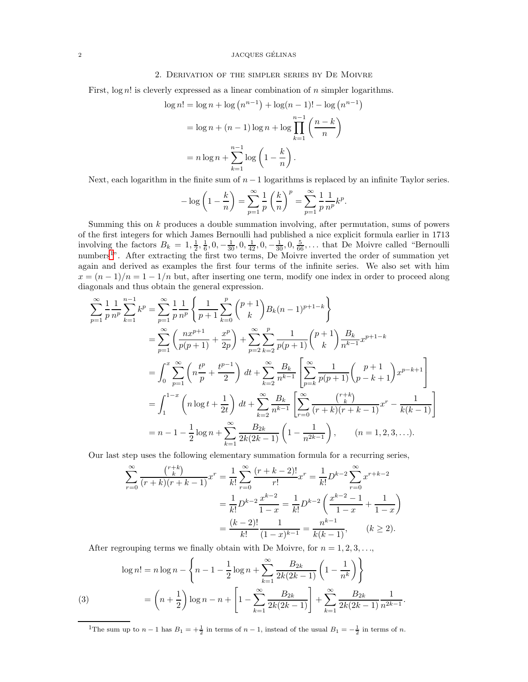#### 2 JACQUES GELINAS ´

### 2. Derivation of the simpler series by De Moivre

First,  $log n!$  is cleverly expressed as a linear combination of n simpler logarithms.

$$
\log n! = \log n + \log (n^{n-1}) + \log (n - 1)! - \log (n^{n-1})
$$
  
=  $\log n + (n - 1) \log n + \log \prod_{k=1}^{n-1} \left( \frac{n-k}{n} \right)$   
=  $n \log n + \sum_{k=1}^{n-1} \log \left( 1 - \frac{k}{n} \right)$ .

Next, each logarithm in the finite sum of  $n-1$  logarithms is replaced by an infinite Taylor series.

$$
-\log\left(1-\frac{k}{n}\right) = \sum_{p=1}^{\infty} \frac{1}{p} \left(\frac{k}{n}\right)^p = \sum_{p=1}^{\infty} \frac{1}{p} \frac{1}{n^p} k^p.
$$

Summing this on k produces a double summation involving, after permutation, sums of powers of the first integers for which James Bernoulli had published a nice explicit formula earlier in 1713 involving the factors  $B_k = 1, \frac{1}{2}, \frac{1}{6}, 0, -\frac{1}{30}, 0, \frac{1}{42}, 0, -\frac{1}{30}, 0, \frac{5}{66}, \dots$  that De Moivre called "Bernoulli numbers<sup>[1](#page-1-0)</sup>". After extracting the first two terms, De Moivre inverted the order of summation yet again and derived as examples the first four terms of the infinite series. We also set with him  $x = (n-1)/n = 1-1/n$  but, after inserting one term, modify one index in order to proceed along diagonals and thus obtain the general expression.

$$
\sum_{p=1}^{\infty} \frac{1}{p} \frac{1}{n^p} \sum_{k=1}^{n-1} k^p = \sum_{p=1}^{\infty} \frac{1}{p} \frac{1}{n^p} \left\{ \frac{1}{p+1} \sum_{k=0}^p {p+1 \choose k} B_k (n-1)^{p+1-k} \right\}
$$
  
\n
$$
= \sum_{p=1}^{\infty} \left( \frac{nx^{p+1}}{p(p+1)} + \frac{x^p}{2p} \right) + \sum_{p=2}^{\infty} \sum_{k=2}^p \frac{1}{p(p+1)} {p+1 \choose k} \frac{B_k}{n^{k-1}} x^{p+1-k}
$$
  
\n
$$
= \int_0^x \sum_{p=1}^{\infty} \left( n \frac{t^p}{p} + \frac{t^{p-1}}{2} \right) dt + \sum_{k=2}^{\infty} \frac{B_k}{n^{k-1}} \left[ \sum_{p=k}^{\infty} \frac{1}{p(p+1)} {p+1 \choose p-k+1} x^{p-k+1} \right]
$$
  
\n
$$
= \int_1^{1-x} \left( n \log t + \frac{1}{2t} \right) dt + \sum_{k=2}^{\infty} \frac{B_k}{n^{k-1}} \left[ \sum_{r=0}^{\infty} \frac{r+k}{(r+k)(r+k-1)} x^r - \frac{1}{k(k-1)} \right]
$$
  
\n
$$
= n - 1 - \frac{1}{2} \log n + \sum_{k=1}^{\infty} \frac{B_{2k}}{2k(2k-1)} \left( 1 - \frac{1}{n^{2k-1}} \right), \qquad (n = 1, 2, 3, \ldots).
$$

Our last step uses the following elementary summation formula for a recurring series,

$$
\sum_{r=0}^{\infty} \frac{\binom{r+k}{k}}{(r+k)(r+k-1)} x^r = \frac{1}{k!} \sum_{r=0}^{\infty} \frac{(r+k-2)!}{r!} x^r = \frac{1}{k!} D^{k-2} \sum_{r=0}^{\infty} x^{r+k-2}
$$

$$
= \frac{1}{k!} D^{k-2} \frac{x^{k-2}}{1-x} = \frac{1}{k!} D^{k-2} \left( \frac{x^{k-2}-1}{1-x} + \frac{1}{1-x} \right)
$$

$$
= \frac{(k-2)!}{k!} \frac{1}{(1-x)^{k-1}} = \frac{n^{k-1}}{k(k-1)}, \qquad (k \ge 2).
$$

After regrouping terms we finally obtain with De Moivre, for  $n = 1, 2, 3, \ldots$ ,

(3) 
$$
\log n! = n \log n - \left\{ n - 1 - \frac{1}{2} \log n + \sum_{k=1}^{\infty} \frac{B_{2k}}{2k(2k-1)} \left( 1 - \frac{1}{n^k} \right) \right\}
$$

$$
= \left( n + \frac{1}{2} \right) \log n - n + \left[ 1 - \sum_{k=1}^{\infty} \frac{B_{2k}}{2k(2k-1)} \right] + \sum_{k=1}^{\infty} \frac{B_{2k}}{2k(2k-1)} \frac{1}{n^{2k-1}}.
$$

<span id="page-1-1"></span><span id="page-1-0"></span><sup>1</sup>The sum up to  $n-1$  has  $B_1 = +\frac{1}{2}$  in terms of  $n-1$ , instead of the usual  $B_1 = -\frac{1}{2}$  in terms of n.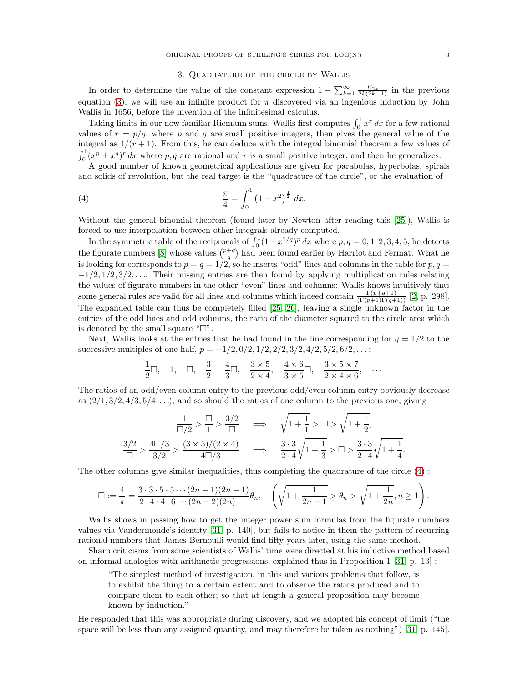## <span id="page-2-0"></span>3. Quadrature of the circle by Wallis

In order to determine the value of the constant expression  $1 - \sum_{k=1}^{\infty} \frac{B_{2k}}{2k(2k-1)}$  in the previous equation [\(3\)](#page-1-1), we will use an infinite product for  $\pi$  discovered via an ingenious induction by John Wallis in 1656, before the invention of the infinitesimal calculus.

Taking limits in our now familiar Riemann sums, Wallis first computes  $\int_0^1 x^r dx$  for a few rational values of  $r = p/q$ , where p and q are small positive integers, then gives the general value of the integral as  $1/(r+1)$ . From this, he can deduce with the integral binomial theorem a few values of  $\int_0^1 (x^p \pm x^q)^r dx$  where p, q are rational and r is a small positive integer, and then he generalizes.

A good number of known geometrical applications are given for parabolas, hyperbolas, spirals and solids of revolution, but the real target is the "quadrature of the circle", or the evaluation of

(4) 
$$
\frac{\pi}{4} = \int_0^1 (1 - x^2)^{\frac{1}{2}} dx.
$$

Without the general binomial theorem (found later by Newton after reading this [\[25\]](#page-8-5)), Wallis is forced to use interpolation between other integrals already computed.

In the symmetric table of the reciprocals of  $\int_0^1 (1-x^{1/q})^p dx$  where  $p, q = 0, 1, 2, 3, 4, 5$ , he detects In the symmetric task of the reciprocals of  $f_0$  (1  $x$   $y$  ax where  $p, q = 0, 1, 2, 0, 4, 0,$  in detects the figurate numbers [\[8\]](#page-7-3) whose values  $\binom{p+q}{q}$  had been found earlier by Harriot and Fermat. What he is looking for corresponds to  $p = q = 1/2$ , so he inserts "odd" lines and columns in the table for  $p, q =$  $-1/2$ ,  $1/2$ ,  $3/2$ , .... Their missing entries are then found by applying multiplication rules relating the values of figurate numbers in the other "even" lines and columns: Wallis knows intuitively that some general rules are valid for all lines and columns which indeed contain  $\frac{\Gamma(p+q+1)}{\Gamma(p+1)\Gamma(q+1)}$  [\[2,](#page-7-4) p. 298]. The expanded table can thus be completely filled [\[25,](#page-8-5) [26\]](#page-8-6), leaving a single unknown factor in the entries of the odd lines and odd columns, the ratio of the diameter squared to the circle area which is denoted by the small square  $\lq \rceil$ .

Next, Wallis looks at the entries that he had found in the line corresponding for  $q = 1/2$  to the successive multiples of one half,  $p = -1/2, 0/2, 1/2, 2/2, 3/2, 4/2, 5/2, 6/2, \ldots$ 

$$
\frac{1}{2}\Box, \quad 1, \quad \Box, \quad \frac{3}{2}, \quad \frac{4}{3}\Box, \quad \frac{3\times 5}{2\times 4}, \quad \frac{4\times 6}{3\times 5}\Box, \quad \frac{3\times 5\times 7}{2\times 4\times 6}, \quad \cdots
$$

The ratios of an odd/even column entry to the previous odd/even column entry obviously decrease as  $\left(\frac{2}{1}, \frac{3}{2}, \frac{4}{3}, \frac{5}{4}, \ldots\right)$ , and so should the ratios of one column to the previous one, giving

$$
\frac{1}{\Box/2} > \frac{\Box}{1} > \frac{3/2}{\Box} \quad \implies \quad \sqrt{1 + \frac{1}{1}} > \Box > \sqrt{1 + \frac{1}{2}},
$$
  

$$
\frac{3/2}{\Box} > \frac{4\Box/3}{3/2} > \frac{(3 \times 5)/(2 \times 4)}{4\Box/3} \quad \implies \quad \frac{3 \cdot 3}{2 \cdot 4} \sqrt{1 + \frac{1}{3}} > \Box > \frac{3 \cdot 3}{2 \cdot 4} \sqrt{1 + \frac{1}{4}}.
$$

The other columns give similar inequalities, thus completing the quadrature of the circle [\(4\)](#page-2-0) :

$$
\Box := \frac{4}{\pi} = \frac{3 \cdot 3 \cdot 5 \cdot 5 \cdots (2n-1)(2n-1)}{2 \cdot 4 \cdot 4 \cdot 6 \cdots (2n-2)(2n)} \theta_n, \quad \left( \sqrt{1 + \frac{1}{2n-1}} > \theta_n > \sqrt{1 + \frac{1}{2n}}, n \ge 1 \right).
$$

Wallis shows in passing how to get the integer power sum formulas from the figurate numbers values via Vandermonde's identity [\[31,](#page-8-7) p. 140], but fails to notice in them the pattern of recurring rational numbers that James Bernoulli would find fifty years later, using the same method.

Sharp criticisms from some scientists of Wallis' time were directed at his inductive method based on informal analogies with arithmetic progressions, explained thus in Proposition 1 [\[31,](#page-8-7) p. 13] :

"The simplest method of investigation, in this and various problems that follow, is to exhibit the thing to a certain extent and to observe the ratios produced and to compare them to each other; so that at length a general proposition may become known by induction."

He responded that this was appropriate during discovery, and we adopted his concept of limit ("the space will be less than any assigned quantity, and may therefore be taken as nothing") [\[31,](#page-8-7) p. 145].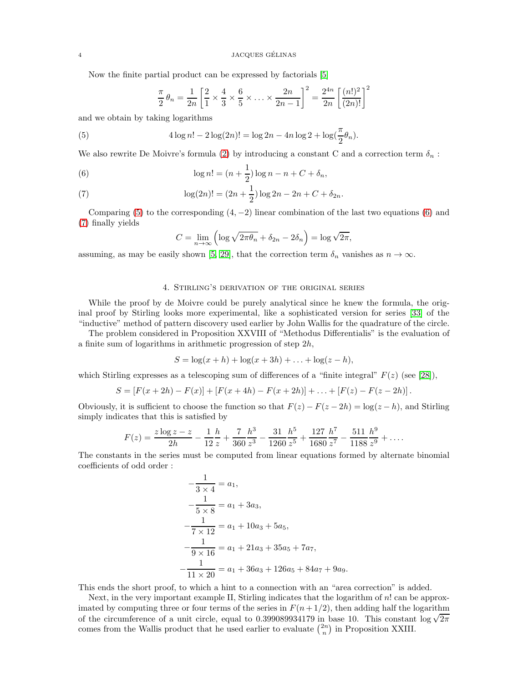Now the finite partial product can be expressed by factorials [\[5\]](#page-7-5)

<span id="page-3-0"></span>
$$
\frac{\pi}{2} \theta_n = \frac{1}{2n} \left[ \frac{2}{1} \times \frac{4}{3} \times \frac{6}{5} \times \ldots \times \frac{2n}{2n-1} \right]^2 = \frac{2^{4n}}{2n} \left[ \frac{(n!)^2}{(2n)!} \right]^2
$$

and we obtain by taking logarithms

(5) 
$$
4 \log n! - 2 \log(2n)! = \log 2n - 4n \log 2 + \log(\frac{\pi}{2}\theta_n).
$$

We also rewrite De Moivre's formula [\(2\)](#page-0-1) by introducing a constant C and a correction term  $\delta_n$ :

<span id="page-3-1"></span>(6) 
$$
\log n! = (n + \frac{1}{2}) \log n - n + C + \delta_n,
$$

<span id="page-3-2"></span>(7) 
$$
\log(2n)! = (2n + \frac{1}{2})\log 2n - 2n + C + \delta_{2n}.
$$

Comparing [\(5\)](#page-3-0) to the corresponding  $(4, -2)$  linear combination of the last two equations [\(6\)](#page-3-1) and [\(7\)](#page-3-2) finally yields

$$
C = \lim_{n \to \infty} \left( \log \sqrt{2\pi \theta_n} + \delta_{2n} - 2\delta_n \right) = \log \sqrt{2\pi},
$$

assuming, as may be easily shown [\[5,](#page-7-5) [29\]](#page-8-8), that the correction term  $\delta_n$  vanishes as  $n \to \infty$ .

# 4. Stirling's derivation of the original series

While the proof by de Moivre could be purely analytical since he knew the formula, the original proof by Stirling looks more experimental, like a sophisticated version for series [\[33\]](#page-8-9) of the "inductive" method of pattern discovery used earlier by John Wallis for the quadrature of the circle.

The problem considered in Proposition XXVIII of "Methodus Differentialis" is the evaluation of a finite sum of logarithms in arithmetic progression of step 2h,

$$
S = \log(x + h) + \log(x + 3h) + \ldots + \log(z - h),
$$

which Stirling expresses as a telescoping sum of differences of a "finite integral"  $F(z)$  (see [\[28\]](#page-8-10)),

$$
S = [F(x + 2h) - F(x)] + [F(x + 4h) - F(x + 2h)] + ... + [F(z) - F(z - 2h)].
$$

Obviously, it is sufficient to choose the function so that  $F(z) - F(z - 2h) = \log(z - h)$ , and Stirling simply indicates that this is satisfied by

$$
F(z) = \frac{z \log z - z}{2h} - \frac{1}{12} \frac{h}{z} + \frac{7}{360} \frac{h^3}{z^3} - \frac{31}{1260} \frac{h^5}{z^5} + \frac{127}{1680} \frac{h^7}{z^7} - \frac{511}{1188} \frac{h^9}{z^9} + \dots
$$

The constants in the series must be computed from linear equations formed by alternate binomial coefficients of odd order :

$$
-\frac{1}{3 \times 4} = a_1,
$$
  
\n
$$
-\frac{1}{5 \times 8} = a_1 + 3a_3,
$$
  
\n
$$
-\frac{1}{7 \times 12} = a_1 + 10a_3 + 5a_5,
$$
  
\n
$$
-\frac{1}{9 \times 16} = a_1 + 21a_3 + 35a_5 + 7a_7,
$$
  
\n
$$
-\frac{1}{11 \times 20} = a_1 + 36a_3 + 126a_5 + 84a_7 + 9a_9.
$$

This ends the short proof, to which a hint to a connection with an "area correction" is added.

Next, in the very important example II, Stirling indicates that the logarithm of n! can be approximated by computing three or four terms of the series in  $F(n+1/2)$ , then adding half the logarithm of the circumference of a unit circle, equal to 0.399089934179 in base 10. This constant  $\log \sqrt{2\pi}$ comes from the Wallis product that he used earlier to evaluate  $\binom{2n}{n}$  in Proposition XXIII.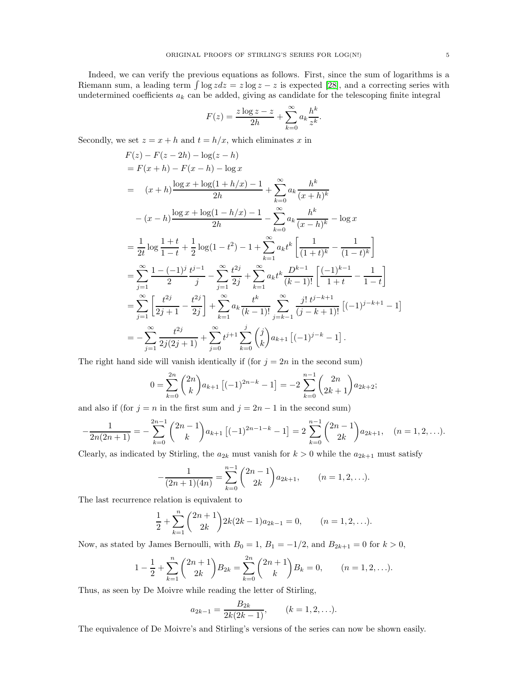Indeed, we can verify the previous equations as follows. First, since the sum of logarithms is a Riemann sum, a leading term  $\int \log z dz = z \log z - z$  is expected [\[28\]](#page-8-10), and a correcting series with undetermined coefficients  $a_k$  can be added, giving as candidate for the telescoping finite integral

$$
F(z) = \frac{z \log z - z}{2h} + \sum_{k=0}^{\infty} a_k \frac{h^k}{z^k}.
$$

Secondly, we set  $z = x + h$  and  $t = h/x$ , which eliminates x in

$$
F(z) - F(z - 2h) - \log(z - h)
$$
  
=  $F(x + h) - F(x - h) - \log x$   
=  $(x + h) \frac{\log x + \log(1 + h/x) - 1}{2h} + \sum_{k=0}^{\infty} a_k \frac{h^k}{(x + h)^k}$   

$$
- (x - h) \frac{\log x + \log(1 - h/x) - 1}{2h} - \sum_{k=0}^{\infty} a_k \frac{h^k}{(x - h)^k} - \log x
$$
  
=  $\frac{1}{2t} \log \frac{1 + t}{1 - t} + \frac{1}{2} \log(1 - t^2) - 1 + \sum_{k=1}^{\infty} a_k t^k \left[ \frac{1}{(1 + t)^k} - \frac{1}{(1 - t)^k} \right]$   
=  $\sum_{j=1}^{\infty} \frac{1 - (-1)^j}{2} \frac{t^{j-1}}{j} - \sum_{j=1}^{\infty} \frac{t^{2j}}{2j} + \sum_{k=1}^{\infty} a_k t^k \frac{D^{k-1}}{(k-1)!} \left[ \frac{(-1)^{k-1}}{1 + t} - \frac{1}{1 - t} \right]$   
=  $\sum_{j=1}^{\infty} \left[ \frac{t^{2j}}{2j + 1} - \frac{t^{2j}}{2j} \right] + \sum_{k=1}^{\infty} a_k \frac{t^k}{(k-1)!} \sum_{j=k-1}^{\infty} \frac{j! t^{j-k+1}}{(j-k+1)!} \left[ (-1)^{j-k+1} - 1 \right]$   
=  $-\sum_{j=1}^{\infty} \frac{t^{2j}}{2j(2j+1)} + \sum_{j=0}^{\infty} t^{j+1} \sum_{k=0}^j {j \choose k} a_{k+1} \left[ (-1)^{j-k} - 1 \right].$ 

The right hand side will vanish identically if (for  $j = 2n$  in the second sum)

$$
0 = \sum_{k=0}^{2n} \binom{2n}{k} a_{k+1} \left[ (-1)^{2n-k} - 1 \right] = -2 \sum_{k=0}^{n-1} \binom{2n}{2k+1} a_{2k+2};
$$

and also if (for  $j = n$  in the first sum and  $j = 2n - 1$  in the second sum)

$$
-\frac{1}{2n(2n+1)} = -\sum_{k=0}^{2n-1} {2n-1 \choose k} a_{k+1} [(-1)^{2n-1-k} - 1] = 2 \sum_{k=0}^{n-1} {2n-1 \choose 2k} a_{2k+1}, (n = 1, 2, \ldots).
$$

Clearly, as indicated by Stirling, the  $a_{2k}$  must vanish for  $k > 0$  while the  $a_{2k+1}$  must satisfy

$$
-\frac{1}{(2n+1)(4n)} = \sum_{k=0}^{n-1} {2n-1 \choose 2k} a_{2k+1}, \qquad (n = 1, 2, \ldots).
$$

The last recurrence relation is equivalent to

$$
\frac{1}{2} + \sum_{k=1}^{n} {2n+1 \choose 2k} 2k(2k-1)a_{2k-1} = 0, \qquad (n = 1, 2, ...).
$$

Now, as stated by James Bernoulli, with  $B_0 = 1$ ,  $B_1 = -1/2$ , and  $B_{2k+1} = 0$  for  $k > 0$ ,

$$
1 - \frac{1}{2} + \sum_{k=1}^{n} {2n + 1 \choose 2k} B_{2k} = \sum_{k=0}^{2n} {2n + 1 \choose k} B_k = 0, \qquad (n = 1, 2, ...).
$$

Thus, as seen by De Moivre while reading the letter of Stirling,

$$
a_{2k-1} = \frac{B_{2k}}{2k(2k-1)}, \qquad (k = 1, 2, \ldots).
$$

The equivalence of De Moivre's and Stirling's versions of the series can now be shown easily.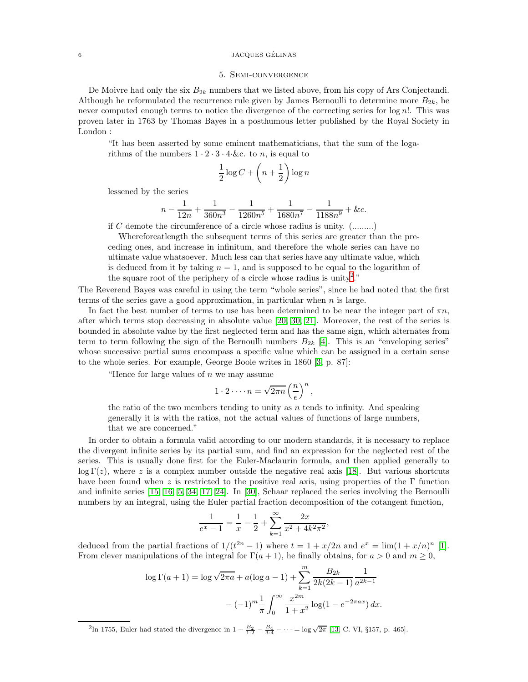#### 6 JACQUES GELINAS ´

## 5. Semi-convergence

De Moivre had only the six  $B_{2k}$  numbers that we listed above, from his copy of Ars Conjectandi. Although he reformulated the recurrence rule given by James Bernoulli to determine more  $B_{2k}$ , he never computed enough terms to notice the divergence of the correcting series for  $\log n!$ . This was proven later in 1763 by Thomas Bayes in a posthumous letter published by the Royal Society in London :

"It has been asserted by some eminent mathematicians, that the sum of the logarithms of the numbers  $1 \cdot 2 \cdot 3 \cdot 4 \cdot \&c.$  to n, is equal to

$$
\frac{1}{2}\log C + \left(n+\frac{1}{2}\right)\log n
$$

lessened by the series

$$
n - \frac{1}{12n} + \frac{1}{360n^3} - \frac{1}{1260n^5} + \frac{1}{1680n^7} - \frac{1}{1188n^9} + \&c.
$$

if C demote the circumference of a circle whose radius is unity. (.........)

Whereforeatlength the subsequent terms of this series are greater than the preceding ones, and increase in infinitum, and therefore the whole series can have no ultimate value whatsoever. Much less can that series have any ultimate value, which is deduced from it by taking  $n = 1$ , and is supposed to be equal to the logarithm of the square root of the periphery of a circle whose radius is unity<sup>[2](#page-5-0)</sup>."

The Reverend Bayes was careful in using the term "whole series", since he had noted that the first terms of the series gave a good approximation, in particular when  $n$  is large.

In fact the best number of terms to use has been determined to be near the integer part of  $\pi n$ , after which terms stop decreasing in absolute value [\[20,](#page-8-11) [30,](#page-8-12) [21\]](#page-8-13). Moreover, the rest of the series is bounded in absolute value by the first neglected term and has the same sign, which alternates from term to term following the sign of the Bernoulli numbers  $B_{2k}$  [\[4\]](#page-7-6). This is an "enveloping series" whose successive partial sums encompass a specific value which can be assigned in a certain sense to the whole series. For example, George Boole writes in 1860 [\[3,](#page-7-7) p. 87]:

"Hence for large values of  $n$  we may assume

$$
1 \cdot 2 \cdot \cdots n = \sqrt{2\pi n} \left(\frac{n}{e}\right)^n,
$$

the ratio of the two members tending to unity as  $n$  tends to infinity. And speaking generally it is with the ratios, not the actual values of functions of large numbers, that we are concerned."

In order to obtain a formula valid according to our modern standards, it is necessary to replace the divergent infinite series by its partial sum, and find an expression for the neglected rest of the series. This is usually done first for the Euler-Maclaurin formula, and then applied generally to  $\log \Gamma(z)$ , where z is a complex number outside the negative real axis [\[18\]](#page-8-14). But various shortcuts have been found when z is restricted to the positive real axis, using properties of the  $\Gamma$  function and infinite series [\[15,](#page-8-15) [16,](#page-8-16) [5,](#page-7-5) [34,](#page-8-17) [17,](#page-8-18) [24\]](#page-8-19). In [\[30\]](#page-8-12), Schaar replaced the series involving the Bernoulli numbers by an integral, using the Euler partial fraction decomposition of the cotangent function,

$$
\frac{1}{e^x - 1} = \frac{1}{x} - \frac{1}{2} + \sum_{k=1}^{\infty} \frac{2x}{x^2 + 4k^2 \pi^2},
$$

deduced from the partial fractions of  $1/(t^{2n} - 1)$  where  $t = 1 + x/2n$  and  $e^x = \lim_{h \to 0} (1 + x/n)^n$  [\[1\]](#page-7-8). From clever manipulations of the integral for  $\Gamma(a + 1)$ , he finally obtains, for  $a > 0$  and  $m \ge 0$ ,

$$
\log \Gamma(a+1) = \log \sqrt{2\pi a} + a(\log a - 1) + \sum_{k=1}^{m} \frac{B_{2k}}{2k(2k-1)} \frac{1}{a^{2k-1}}
$$

$$
-(-1)^m \frac{1}{\pi} \int_0^\infty \frac{x^{2m}}{1+x^2} \log(1 - e^{-2\pi ax}) dx.
$$

<span id="page-5-0"></span><sup>2</sup>In 1755, Euler had stated the divergence in  $1 - \frac{B_2}{1 \cdot 2} - \frac{B_4}{3 \cdot 4} - \cdots = \log \sqrt{2\pi}$  [\[13,](#page-8-20) C. VI, §157, p. 465].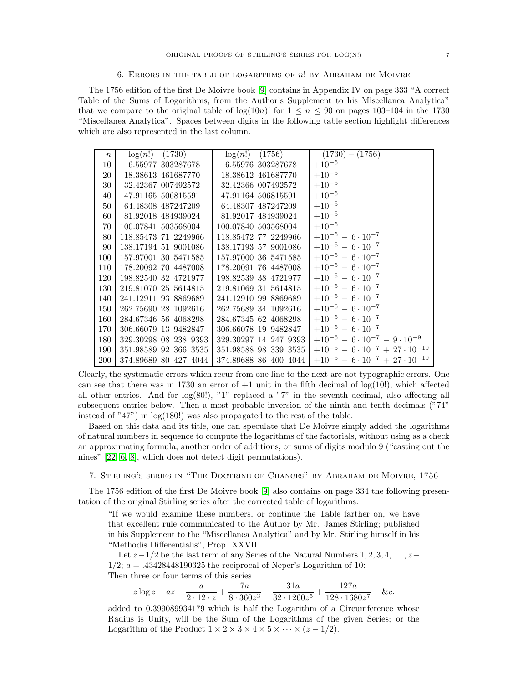#### 6. Errors in the table of logarithms of n! by Abraham de Moivre

The 1756 edition of the first De Moivre book [\[9\]](#page-7-0) contains in Appendix IV on page 333 "A correct Table of the Sums of Logarithms, from the Author's Supplement to his Miscellanea Analytica" that we compare to the original table of  $log(10n)!$  for  $1 \leq n \leq 90$  on pages 103–104 in the 1730 "Miscellanea Analytica". Spaces between digits in the following table section highlight differences which are also represented in the last column.

| $\boldsymbol{n}$ | log(n!)<br>(1730)     | log(n!)<br>(1756)     | $(1730) -$<br>(1756)                             |
|------------------|-----------------------|-----------------------|--------------------------------------------------|
| 10               | 6.55977 303287678     | 6.55976 303287678     | $+\overline{10^{-5}}$                            |
| 20               | 18.38613 461687770    | 18.38612 461687770    | $+10^{-5}$                                       |
| 30               | 32.42367 007492572    | 32.42366 007492572    | $+10^{-5}$                                       |
| 40               | 47.91165 506815591    | 47.91164 506815591    | $+10^{-5}$                                       |
| 50               | 64.48308 487247209    | 64.48307 487247209    | $+10^{-5}$                                       |
| 60               | 81.92018 484939024    | 81.92017 484939024    | $+10^{-5}$                                       |
| 70               | 100.07841 503568004   | 100.07840 503568004   | $+10^{-5}$                                       |
| 80               | 118.85473 71 2249966  | 118.85472 77 2249966  | $+10^{-5} - 6 \cdot 10^{-7}$                     |
| 90               | 138.17194 51 9001086  | 138.17193 57 9001086  | $+10^{-5} - 6 \cdot 10^{-7}$                     |
| 100              | 157.97001 30 5471585  | 157.97000 36 5471585  | $+10^{-5} - 6 \cdot 10^{-7}$                     |
| 110              | 178.20092 70 4487008  | 178.20091 76 4487008  | $+10^{-5} - 6 \cdot 10^{-7}$                     |
| 120              | 198.82540 32 4721977  | 198.82539 38 4721977  | $+10^{-5} - 6 \cdot 10^{-7}$                     |
| 130              | 219.81070 25 5614815  | 219.81069 31 5614815  | $+10^{-5} - 6 \cdot 10^{-7}$                     |
| 140              | 241.12911 93 8869689  | 241.12910 99 8869689  | $+10^{-5} - 6 \cdot 10^{-7}$                     |
| 150              | 262.75690 28 1092616  | 262.75689 34 1092616  | $+10^{-5} - 6 \cdot 10^{-7}$                     |
| 160              | 284.67346 56 4068298  | 284.67345 62 4068298  | $+10^{-5} - 6 \cdot 10^{-7}$                     |
| 170              | 306.66079 13 9482847  | 306.66078 19 9482847  | $+10^{-5} - 6 \cdot 10^{-7}$                     |
| 180              | 329.30298 08 238 9393 | 329.30297 14 247 9393 | $+10^{-5} - 6 \cdot 10^{-7} - 9 \cdot 10^{-9}$   |
| 190              | 351.98589 92 366 3535 | 351.98588 98 339 3535 | $+10^{-5} - 6 \cdot 10^{-7} + 27 \cdot 10^{-10}$ |
| 200              | 374.89689 80 427 4044 | 374.89688 86 400 4044 | $+10^{-5} - 6 \cdot 10^{-7} + 27 \cdot 10^{-10}$ |

Clearly, the systematic errors which recur from one line to the next are not typographic errors. One can see that there was in 1730 an error of  $+1$  unit in the fifth decimal of log(10!), which affected all other entries. And for  $log(80!)$ , "1" replaced a "7" in the seventh decimal, also affecting all subsequent entries below. Then a most probable inversion of the ninth and tenth decimals ("74" instead of "47") in log(180!) was also propagated to the rest of the table.

Based on this data and its title, one can speculate that De Moivre simply added the logarithms of natural numbers in sequence to compute the logarithms of the factorials, without using as a check an approximating formula, another order of additions, or sums of digits modulo 9 ("casting out the nines" [\[22,](#page-8-21) [6,](#page-7-9) [8\]](#page-7-3), which does not detect digit permutations).

7. Stirling's series in "The Doctrine of Chances" by Abraham de Moivre, 1756

The 1756 edition of the first De Moivre book [\[9\]](#page-7-0) also contains on page 334 the following presentation of the original Stirling series after the corrected table of logarithms.

"If we would examine these numbers, or continue the Table farther on, we have that excellent rule communicated to the Author by Mr. James Stirling; published in his Supplement to the "Miscellanea Analytica" and by Mr. Stirling himself in his "Methodis Differentialis", Prop. XXVIII.

Let  $z-1/2$  be the last term of any Series of the Natural Numbers  $1, 2, 3, 4, \ldots, z 1/2$ ;  $a = .43428448190325$  the reciprocal of Neper's Logarithm of 10: Then three or four terms of this series

$$
z \log z - az - \frac{a}{2 \cdot 12 \cdot z} + \frac{7a}{8 \cdot 360z^3} - \frac{31a}{32 \cdot 1260z^5} + \frac{127a}{128 \cdot 1680z^7} - \&c.
$$

added to 0.399089934179 which is half the Logarithm of a Circumference whose Radius is Unity, will be the Sum of the Logarithms of the given Series; or the Logarithm of the Product  $1 \times 2 \times 3 \times 4 \times 5 \times \cdots \times (z-1/2)$ .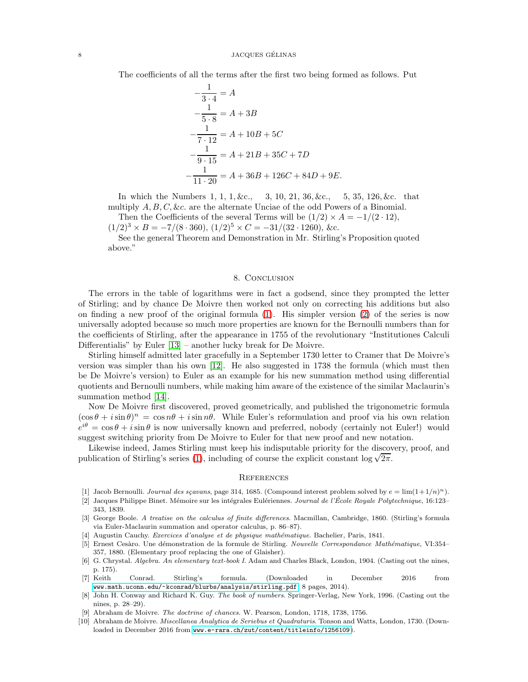The coefficients of all the terms after the first two being formed as follows. Put

$$
-\frac{1}{3 \cdot 4} = A
$$
  
\n
$$
-\frac{1}{5 \cdot 8} = A + 3B
$$
  
\n
$$
-\frac{1}{7 \cdot 12} = A + 10B + 5C
$$
  
\n
$$
-\frac{1}{9 \cdot 15} = A + 21B + 35C + 7D
$$
  
\n
$$
-\frac{1}{11 \cdot 20} = A + 36B + 126C + 84D + 9E.
$$

In which the Numbers 1, 1, 1, &c., 3, 10, 21, 36, &c., 5, 35, 126, &c. that multiply  $A, B, C, \&c.$  are the alternate Unciae of the odd Powers of a Binomial.

Then the Coefficients of the several Terms will be  $(1/2) \times A = -1/(2 \cdot 12)$ ,

$$
(1/2)^3 \times B = -7/(8 \cdot 360), (1/2)^5 \times C = -31/(32 \cdot 1260), \&c.
$$

See the general Theorem and Demonstration in Mr. Stirling's Proposition quoted above."

## 8. CONCLUSION

The errors in the table of logarithms were in fact a godsend, since they prompted the letter of Stirling; and by chance De Moivre then worked not only on correcting his additions but also on finding a new proof of the original formula [\(1\)](#page-0-0). His simpler version [\(2\)](#page-0-1) of the series is now universally adopted because so much more properties are known for the Bernoulli numbers than for the coefficients of Stirling, after the appearance in 1755 of the revolutionary "Institutiones Calculi Differentialis" by Euler [\[13\]](#page-8-20) – another lucky break for De Moivre.

Stirling himself admitted later gracefully in a September 1730 letter to Cramer that De Moivre's version was simpler than his own [\[12\]](#page-8-22). He also suggested in 1738 the formula (which must then be De Moivre's version) to Euler as an example for his new summation method using differential quotients and Bernoulli numbers, while making him aware of the existence of the similar Maclaurin's summation method [\[14\]](#page-8-23).

Now De Moivre first discovered, proved geometrically, and published the trigonometric formula  $(\cos \theta + i \sin \theta)^n = \cos n\theta + i \sin n\theta$ . While Euler's reformulation and proof via his own relation  $e^{i\theta} = \cos \theta + i \sin \theta$  is now universally known and preferred, nobody (certainly not Euler!) would suggest switching priority from De Moivre to Euler for that new proof and new notation.

Likewise indeed, James Stirling must keep his indisputable priority for the discovery, proof, and publication of Stirling's series [\(1\)](#page-0-0), including of course the explicit constant  $\log \sqrt{2\pi}$ .

#### **REFERENCES**

- <span id="page-7-8"></span><span id="page-7-4"></span>[1] Jacob Bernoulli. Journal des sçavans, page 314, 1685. (Compound interest problem solved by  $e = \lim(1+1/n)^n$ ).
- [2] Jacques Philippe Binet. Mémoire sur les intégrales Eulériennes. Journal de l'École Royale Polytechnique, 16:123– 343, 1839.
- <span id="page-7-7"></span>[3] George Boole. A treatise on the calculus of finite differences. Macmillan, Cambridge, 1860. (Stirling's formula via Euler-Maclaurin summation and operator calculus, p. 86–87).
- <span id="page-7-6"></span><span id="page-7-5"></span>[4] Augustin Cauchy. Exercices d'analyse et de physique mathématique. Bachelier, Paris, 1841.
- [5] Ernest Cesàro. Une démonstration de la formule de Stirling. Nouvelle Correspondance Mathématique, VI:354– 357, 1880. (Elementary proof replacing the one of Glaisher).
- <span id="page-7-9"></span>[6] G. Chrystal. Algebra. An elementary text-book I. Adam and Charles Black, London, 1904. (Casting out the nines, p. 175).
- <span id="page-7-2"></span>[7] Keith Conrad. Stirling's formula. (Downloaded in December 2016 from <www.math.uconn.edu/~kconrad/blurbs/analysis/stirling.pdf>, 8 pages, 2014).
- <span id="page-7-3"></span>[8] John H. Conway and Richard K. Guy. The book of numbers. Springer-Verlag, New York, 1996. (Casting out the nines, p. 28–29).
- <span id="page-7-1"></span><span id="page-7-0"></span>[9] Abraham de Moivre. The doctrine of chances. W. Pearson, London, 1718, 1738, 1756.
- [10] Abraham de Moivre. Miscellanea Analytica de Seriebus et Quadraturis. Tonson and Watts, London, 1730. (Downloaded in December 2016 from <www.e-rara.ch/zut/content/titleinfo/1256109>).